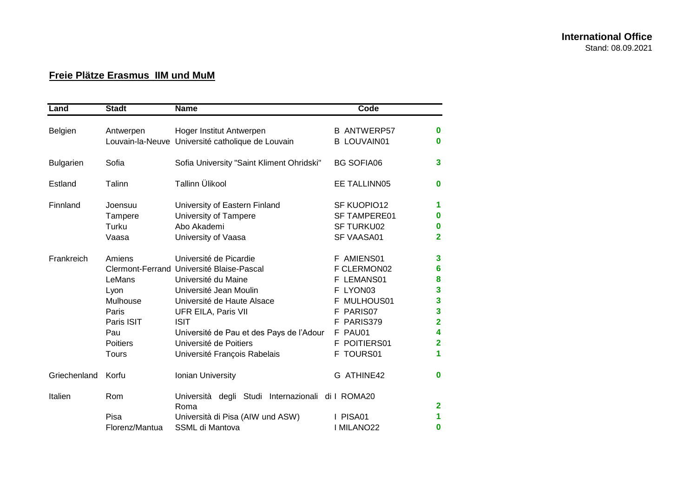## **Freie Plätze Erasmus IIM und MuM**

| Land             | <b>Stadt</b>                                                                                          | <b>Name</b>                                                                                                                                                                                                                                                                                    | Code                                                                                                                                                |                                                                                                                                                    |
|------------------|-------------------------------------------------------------------------------------------------------|------------------------------------------------------------------------------------------------------------------------------------------------------------------------------------------------------------------------------------------------------------------------------------------------|-----------------------------------------------------------------------------------------------------------------------------------------------------|----------------------------------------------------------------------------------------------------------------------------------------------------|
| Belgien          | Antwerpen                                                                                             | Hoger Institut Antwerpen<br>Louvain-la-Neuve Université catholique de Louvain                                                                                                                                                                                                                  | <b>B ANTWERP57</b><br><b>B LOUVAIN01</b>                                                                                                            | $\bf{0}$<br>$\bf{0}$                                                                                                                               |
| <b>Bulgarien</b> | Sofia                                                                                                 | Sofia University "Saint Kliment Ohridski"                                                                                                                                                                                                                                                      | <b>BG SOFIA06</b>                                                                                                                                   | $\overline{\mathbf{3}}$                                                                                                                            |
| Estland          | Talinn                                                                                                | Tallinn Ülikool                                                                                                                                                                                                                                                                                | EE TALLINN05                                                                                                                                        | $\bf{0}$                                                                                                                                           |
| Finnland         | Joensuu<br>Tampere<br>Turku<br>Vaasa                                                                  | University of Eastern Finland<br>University of Tampere<br>Abo Akademi<br>University of Vaasa                                                                                                                                                                                                   | SF KUOPIO12<br><b>SF TAMPERE01</b><br><b>SF TURKU02</b><br>SF VAASA01                                                                               | 1<br>$\boldsymbol{0}$<br>$\bf{0}$<br>$\overline{2}$                                                                                                |
| Frankreich       | Amiens<br>LeMans<br>Lyon<br>Mulhouse<br>Paris<br>Paris ISIT<br>Pau<br><b>Poitiers</b><br><b>Tours</b> | Université de Picardie<br>Clermont-Ferrand Université Blaise-Pascal<br>Université du Maine<br>Université Jean Moulin<br>Université de Haute Alsace<br>UFR EILA, Paris VII<br><b>ISIT</b><br>Université de Pau et des Pays de l'Adour<br>Université de Poitiers<br>Université François Rabelais | F AMIENS01<br>F CLERMON02<br>LEMANS01<br>LYON03<br>F<br>MULHOUS01<br>F<br>PARIS07<br>F<br>PARIS379<br>F<br>F PAU01<br>POITIERS01<br>F.<br>F TOURS01 | $\mathbf{3}$<br>$6\phantom{1}6$<br>$\bf{8}$<br>$\mathbf{3}$<br>$\overline{\mathbf{3}}$<br>3<br>$\overline{2}$<br>4<br>$\overline{\mathbf{2}}$<br>1 |
| Griechenland     | Korfu                                                                                                 | Ionian University                                                                                                                                                                                                                                                                              | G ATHINE42                                                                                                                                          | $\bf{0}$                                                                                                                                           |
| Italien          | Rom<br>Pisa<br>Florenz/Mantua                                                                         | degli Studi Internazionali di I ROMA20<br>Università<br>Roma<br>Università di Pisa (AIW und ASW)<br>SSML di Mantova                                                                                                                                                                            | I PISA01<br>I MILANO22                                                                                                                              | $\overline{\mathbf{2}}$<br>1<br>0                                                                                                                  |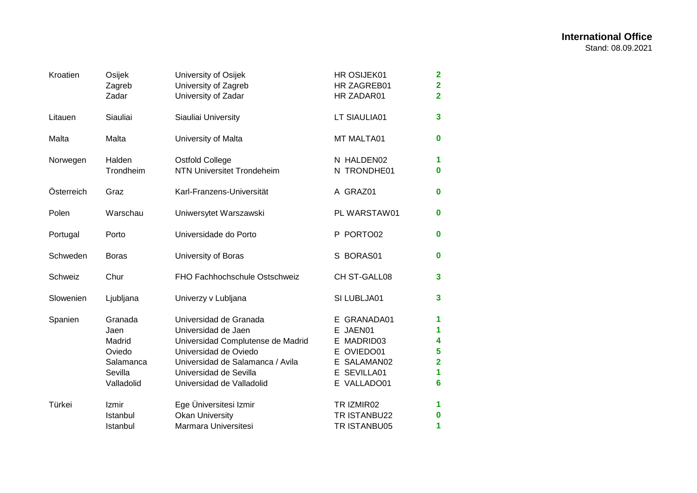| Kroatien   | Osijek<br>Zagreb<br>Zadar                                                 | University of Osijek<br>University of Zagreb<br>University of Zadar                                                                                                                                    | HR OSIJEK01<br>HR ZAGREB01<br>HR ZADAR01                                                         | $\overline{\mathbf{2}}$<br>$\overline{2}$<br>$\overline{\mathbf{2}}$ |
|------------|---------------------------------------------------------------------------|--------------------------------------------------------------------------------------------------------------------------------------------------------------------------------------------------------|--------------------------------------------------------------------------------------------------|----------------------------------------------------------------------|
| Litauen    | Siauliai                                                                  | Siauliai University                                                                                                                                                                                    | LT SIAULIA01                                                                                     | 3                                                                    |
| Malta      | Malta                                                                     | University of Malta                                                                                                                                                                                    | MT MALTA01                                                                                       | $\mathbf 0$                                                          |
| Norwegen   | Halden<br>Trondheim                                                       | <b>Ostfold College</b><br><b>NTN Universitet Trondeheim</b>                                                                                                                                            | N HALDEN02<br>N TRONDHE01                                                                        | 1<br>0                                                               |
| Österreich | Graz                                                                      | Karl-Franzens-Universität                                                                                                                                                                              | A GRAZ01                                                                                         | 0                                                                    |
| Polen      | Warschau                                                                  | Uniwersytet Warszawski                                                                                                                                                                                 | PL WARSTAW01                                                                                     | 0                                                                    |
| Portugal   | Porto                                                                     | Universidade do Porto                                                                                                                                                                                  | P PORTO02                                                                                        | 0                                                                    |
| Schweden   | <b>Boras</b>                                                              | University of Boras                                                                                                                                                                                    | S BORAS01                                                                                        | 0                                                                    |
| Schweiz    | Chur                                                                      | FHO Fachhochschule Ostschweiz                                                                                                                                                                          | CH ST-GALL08                                                                                     | 3                                                                    |
| Slowenien  | Ljubljana                                                                 | Univerzy v Lubljana                                                                                                                                                                                    | SI LUBLJA01                                                                                      | 3                                                                    |
| Spanien    | Granada<br>Jaen<br>Madrid<br>Oviedo<br>Salamanca<br>Sevilla<br>Valladolid | Universidad de Granada<br>Universidad de Jaen<br>Universidad Complutense de Madrid<br>Universidad de Oviedo<br>Universidad de Salamanca / Avila<br>Universidad de Sevilla<br>Universidad de Valladolid | E GRANADA01<br>E JAEN01<br>E MADRID03<br>E OVIEDO01<br>E SALAMAN02<br>E SEVILLA01<br>E VALLADO01 | 1<br>1<br>4<br>5<br>$\overline{2}$<br>1<br>6                         |
| Türkei     | Izmir<br>Istanbul<br>Istanbul                                             | Ege Üniversitesi Izmir<br><b>Okan University</b><br>Marmara Universitesi                                                                                                                               | TR IZMIR02<br>TR ISTANBU22<br>TR ISTANBU05                                                       | 1<br>0<br>1                                                          |